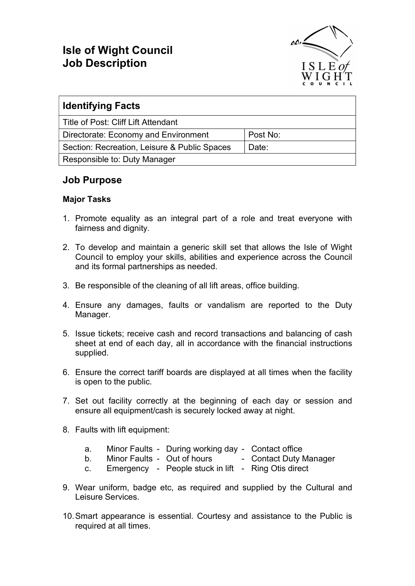## Isle of Wight Council Job Description



| <b>Identifying Facts</b>                     |          |
|----------------------------------------------|----------|
| Title of Post: Cliff Lift Attendant          |          |
| Directorate: Economy and Environment         | Post No: |
| Section: Recreation, Leisure & Public Spaces | Date:    |
| Responsible to: Duty Manager                 |          |

## Job Purpose

## Major Tasks

- 1. Promote equality as an integral part of a role and treat everyone with fairness and dignity.
- 2. To develop and maintain a generic skill set that allows the Isle of Wight Council to employ your skills, abilities and experience across the Council and its formal partnerships as needed.
- 3. Be responsible of the cleaning of all lift areas, office building.
- 4. Ensure any damages, faults or vandalism are reported to the Duty Manager.
- 5. Issue tickets; receive cash and record transactions and balancing of cash sheet at end of each day, all in accordance with the financial instructions supplied.
- 6. Ensure the correct tariff boards are displayed at all times when the facility is open to the public.
- 7. Set out facility correctly at the beginning of each day or session and ensure all equipment/cash is securely locked away at night.
- 8. Faults with lift equipment:
	- a. Minor Faults During working day Contact office
	- b. Minor Faults Out of hours Contact Duty Manager
		-
	- c. Emergency People stuck in lift Ring Otis direct
- 9. Wear uniform, badge etc, as required and supplied by the Cultural and Leisure Services.
- 10. Smart appearance is essential. Courtesy and assistance to the Public is required at all times.